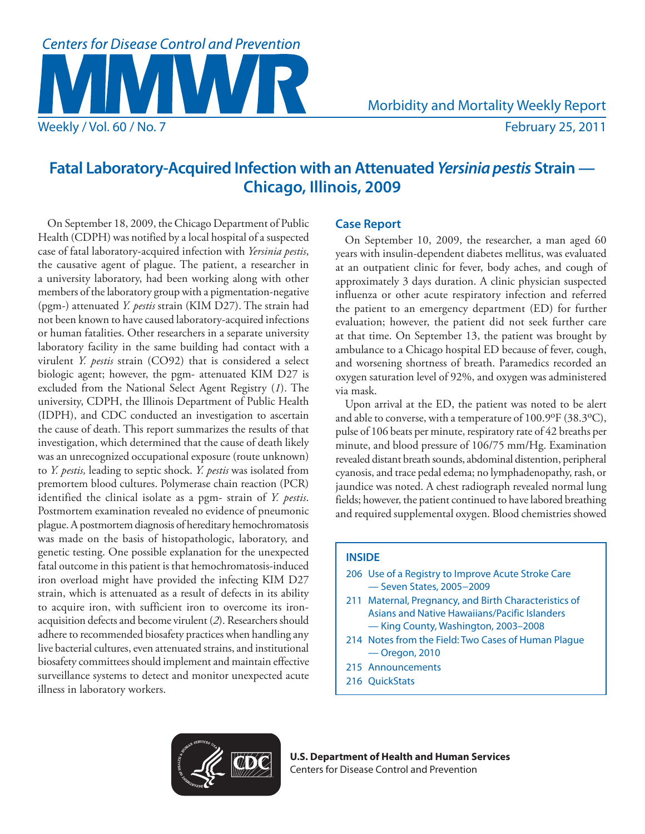# **Centers for Disease Control and Prevention**

# **Fatal Laboratory-Acquired Infection with an Attenuated** *Yersinia pestis* **Strain — Chicago, Illinois, 2009**

On September 18, 2009, the Chicago Department of Public Health (CDPH) was notified by a local hospital of a suspected case of fatal laboratory-acquired infection with *Yersinia pestis*, the causative agent of plague. The patient, a researcher in a university laboratory, had been working along with other members of the laboratory group with a pigmentation-negative (pgm-) attenuated *Y. pestis* strain (KIM D27). The strain had not been known to have caused laboratory-acquired infections or human fatalities. Other researchers in a separate university laboratory facility in the same building had contact with a virulent *Y. pestis* strain (CO92) that is considered a select biologic agent; however, the pgm- attenuated KIM D27 is excluded from the National Select Agent Registry (*1*). The university, CDPH, the Illinois Department of Public Health (IDPH), and CDC conducted an investigation to ascertain the cause of death. This report summarizes the results of that investigation, which determined that the cause of death likely was an unrecognized occupational exposure (route unknown) to *Y. pestis,* leading to septic shock. *Y. pestis* was isolated from premortem blood cultures. Polymerase chain reaction (PCR) identified the clinical isolate as a pgm- strain of *Y. pestis*. Postmortem examination revealed no evidence of pneumonic plague. A postmortem diagnosis of hereditary hemochromatosis was made on the basis of histopathologic, laboratory, and genetic testing. One possible explanation for the unexpected fatal outcome in this patient is that hemochromatosis-induced iron overload might have provided the infecting KIM D27 strain, which is attenuated as a result of defects in its ability to acquire iron, with sufficient iron to overcome its ironacquisition defects and become virulent (*2*). Researchers should adhere to recommended biosafety practices when handling any live bacterial cultures, even attenuated strains, and institutional biosafety committees should implement and maintain effective surveillance systems to detect and monitor unexpected acute illness in laboratory workers.

# **Case Report**

On September 10, 2009, the researcher, a man aged 60 years with insulin-dependent diabetes mellitus, was evaluated at an outpatient clinic for fever, body aches, and cough of approximately 3 days duration. A clinic physician suspected influenza or other acute respiratory infection and referred the patient to an emergency department (ED) for further evaluation; however, the patient did not seek further care at that time. On September 13, the patient was brought by ambulance to a Chicago hospital ED because of fever, cough, and worsening shortness of breath. Paramedics recorded an oxygen saturation level of 92%, and oxygen was administered via mask.

Upon arrival at the ED, the patient was noted to be alert and able to converse, with a temperature of 100.9°F (38.3°C), pulse of 106 beats per minute, respiratory rate of 42 breaths per minute, and blood pressure of 106/75 mm/Hg. Examination revealed distant breath sounds, abdominal distention, peripheral cyanosis, and trace pedal edema; no lymphadenopathy, rash, or jaundice was noted. A chest radiograph revealed normal lung fields; however, the patient continued to have labored breathing and required supplemental oxygen. Blood chemistries showed

# **INSIDE**

- 206 Use of a Registry to Improve Acute Stroke Care — Seven States, 2005−2009
- 211 Maternal, Pregnancy, and Birth Characteristics of Asians and Native Hawaiians/Pacific Islanders — King County, Washington, 2003–2008
- 214 Notes from the Field: Two Cases of Human Plague — Oregon, 2010
- 215 Announcements
- 216 QuickStats



**U.S. Department of Health and Human Services** Centers for Disease Control and Prevention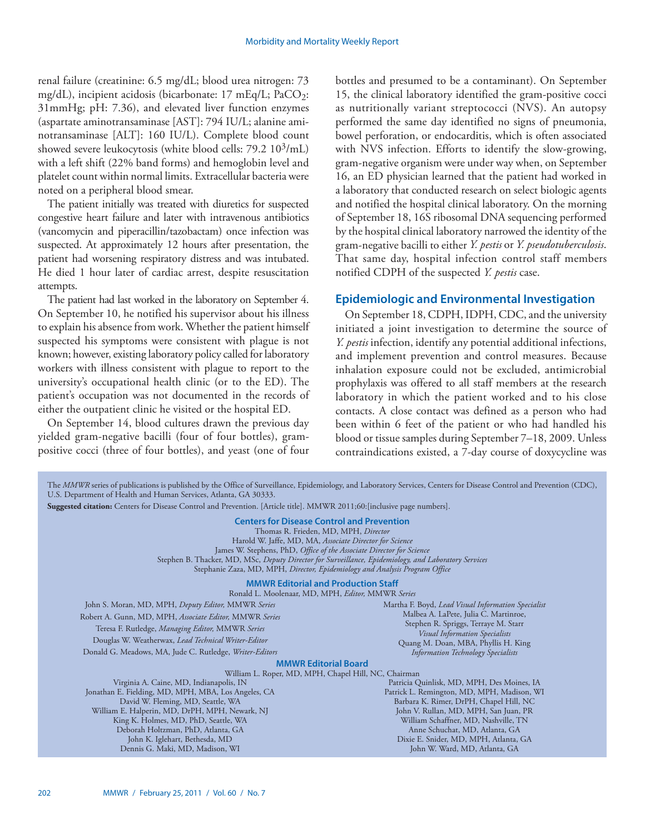renal failure (creatinine: 6.5 mg/dL; blood urea nitrogen: 73 mg/dL), incipient acidosis (bicarbonate:  $17 \text{ mEq/L}$ ; PaCO<sub>2</sub>: 31mmHg; pH: 7.36), and elevated liver function enzymes (aspartate aminotransaminase [AST]: 794 IU/L; alanine aminotransaminase [ALT]: 160 IU/L). Complete blood count showed severe leukocytosis (white blood cells:  $79.2 \frac{10^3}{\text{mL}}$ ) with a left shift (22% band forms) and hemoglobin level and platelet count within normal limits. Extracellular bacteria were noted on a peripheral blood smear.

The patient initially was treated with diuretics for suspected congestive heart failure and later with intravenous antibiotics (vancomycin and piperacillin/tazobactam) once infection was suspected. At approximately 12 hours after presentation, the patient had worsening respiratory distress and was intubated. He died 1 hour later of cardiac arrest, despite resuscitation attempts.

The patient had last worked in the laboratory on September 4. On September 10, he notified his supervisor about his illness to explain his absence from work. Whether the patient himself suspected his symptoms were consistent with plague is not known; however, existing laboratory policy called for laboratory workers with illness consistent with plague to report to the university's occupational health clinic (or to the ED). The patient's occupation was not documented in the records of either the outpatient clinic he visited or the hospital ED.

On September 14, blood cultures drawn the previous day yielded gram-negative bacilli (four of four bottles), grampositive cocci (three of four bottles), and yeast (one of four

bottles and presumed to be a contaminant). On September 15, the clinical laboratory identified the gram-positive cocci as nutritionally variant streptococci (NVS). An autopsy performed the same day identified no signs of pneumonia, bowel perforation, or endocarditis, which is often associated with NVS infection. Efforts to identify the slow-growing, gram-negative organism were under way when, on September 16, an ED physician learned that the patient had worked in a laboratory that conducted research on select biologic agents and notified the hospital clinical laboratory. On the morning of September 18, 16S ribosomal DNA sequencing performed by the hospital clinical laboratory narrowed the identity of the gram-negative bacilli to either *Y. pestis* or *Y. pseudotuberculosis*. That same day, hospital infection control staff members notified CDPH of the suspected *Y. pestis* case.

# **Epidemiologic and Environmental Investigation**

On September 18, CDPH, IDPH, CDC, and the university initiated a joint investigation to determine the source of *Y. pestis* infection, identify any potential additional infections, and implement prevention and control measures. Because inhalation exposure could not be excluded, antimicrobial prophylaxis was offered to all staff members at the research laboratory in which the patient worked and to his close contacts. A close contact was defined as a person who had been within 6 feet of the patient or who had handled his blood or tissue samples during September 7–18, 2009. Unless contraindications existed, a 7-day course of doxycycline was

| The MMWR series of publications is published by the Office of Surveillance, Epidemiology, and Laboratory Services, Centers for Disease Control and Prevention (CDC),<br>U.S. Department of Health and Human Services, Atlanta, GA 30333.                                                                                                                                                                                                                          |                                                                                  |
|-------------------------------------------------------------------------------------------------------------------------------------------------------------------------------------------------------------------------------------------------------------------------------------------------------------------------------------------------------------------------------------------------------------------------------------------------------------------|----------------------------------------------------------------------------------|
| Suggested citation: Centers for Disease Control and Prevention. [Article title]. MMWR 2011;60: [inclusive page numbers].                                                                                                                                                                                                                                                                                                                                          |                                                                                  |
| <b>Centers for Disease Control and Prevention</b><br>Thomas R. Frieden, MD, MPH, Director<br>Harold W. Jaffe, MD, MA, Associate Director for Science<br>James W. Stephens, PhD, Office of the Associate Director for Science<br>Stephen B. Thacker, MD, MSc, Deputy Director for Surveillance, Epidemiology, and Laboratory Services<br>Stephanie Zaza, MD, MPH, Director, Epidemiology and Analysis Program Office<br><b>MMWR Editorial and Production Staff</b> |                                                                                  |
| Ronald L. Moolenaar, MD, MPH, Editor, MMWR Series                                                                                                                                                                                                                                                                                                                                                                                                                 |                                                                                  |
| John S. Moran, MD, MPH, Deputy Editor, MMWR Series                                                                                                                                                                                                                                                                                                                                                                                                                | Martha F. Boyd, Lead Visual Information Specialist                               |
| Robert A. Gunn, MD, MPH, Associate Editor, MMWR Series                                                                                                                                                                                                                                                                                                                                                                                                            | Malbea A. LaPete, Julia C. Martinroe,                                            |
| Teresa F. Rutledge, Managing Editor, MMWR Series                                                                                                                                                                                                                                                                                                                                                                                                                  | Stephen R. Spriggs, Terraye M. Starr<br><b>Visual Information Specialists</b>    |
| Douglas W. Weatherwax, Lead Technical Writer-Editor                                                                                                                                                                                                                                                                                                                                                                                                               | Quang M. Doan, MBA, Phyllis H. King                                              |
| Donald G. Meadows, MA, Jude C. Rutledge, Writer-Editors                                                                                                                                                                                                                                                                                                                                                                                                           | <b>Information Technology Specialists</b>                                        |
| <b>MMWR Editorial Board</b>                                                                                                                                                                                                                                                                                                                                                                                                                                       |                                                                                  |
| William L. Roper, MD, MPH, Chapel Hill, NC, Chairman                                                                                                                                                                                                                                                                                                                                                                                                              |                                                                                  |
| Virginia A. Caine, MD, Indianapolis, IN                                                                                                                                                                                                                                                                                                                                                                                                                           | Patricia Quinlisk, MD, MPH, Des Moines, IA                                       |
| Jonathan E. Fielding, MD, MPH, MBA, Los Angeles, CA                                                                                                                                                                                                                                                                                                                                                                                                               | Patrick L. Remington, MD, MPH, Madison, WI                                       |
| David W. Fleming, MD, Seattle, WA<br>William E. Halperin, MD, DrPH, MPH, Newark, NJ                                                                                                                                                                                                                                                                                                                                                                               | Barbara K. Rimer, DrPH, Chapel Hill, NC<br>John V. Rullan, MD, MPH, San Juan, PR |
| King K. Holmes, MD, PhD, Seattle, WA                                                                                                                                                                                                                                                                                                                                                                                                                              | William Schaffner, MD, Nashville, TN                                             |
| Deborah Holtzman, PhD, Atlanta, GA                                                                                                                                                                                                                                                                                                                                                                                                                                | Anne Schuchat, MD, Atlanta, GA                                                   |
| John K. Iglehart, Bethesda, MD                                                                                                                                                                                                                                                                                                                                                                                                                                    | Dixie E. Snider, MD, MPH, Atlanta, GA                                            |
| Dennis G. Maki, MD, Madison, WI                                                                                                                                                                                                                                                                                                                                                                                                                                   | John W. Ward, MD, Atlanta, GA                                                    |
|                                                                                                                                                                                                                                                                                                                                                                                                                                                                   |                                                                                  |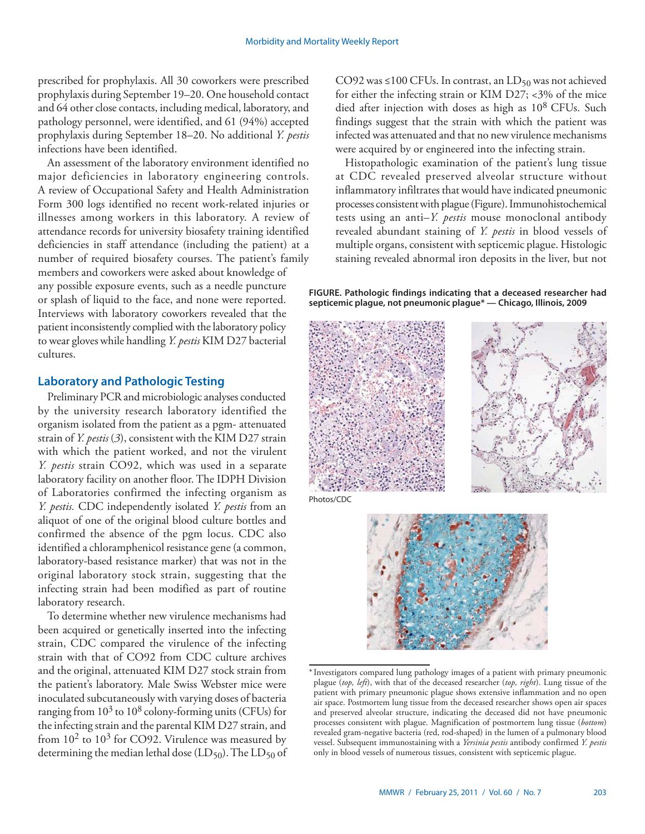prescribed for prophylaxis. All 30 coworkers were prescribed prophylaxis during September 19–20. One household contact and 64 other close contacts, including medical, laboratory, and pathology personnel, were identified, and 61 (94%) accepted prophylaxis during September 18–20. No additional *Y. pestis* infections have been identified.

An assessment of the laboratory environment identified no major deficiencies in laboratory engineering controls. A review of Occupational Safety and Health Administration Form 300 logs identified no recent work-related injuries or illnesses among workers in this laboratory. A review of attendance records for university biosafety training identified deficiencies in staff attendance (including the patient) at a number of required biosafety courses. The patient's family members and coworkers were asked about knowledge of any possible exposure events, such as a needle puncture or splash of liquid to the face, and none were reported. Interviews with laboratory coworkers revealed that the patient inconsistently complied with the laboratory policy to wear gloves while handling *Y. pestis* KIM D27 bacterial cultures.

# **Laboratory and Pathologic Testing**

Preliminary PCR and microbiologic analyses conducted by the university research laboratory identified the organism isolated from the patient as a pgm- attenuated strain of *Y. pestis* (*3*), consistent with the KIM D27 strain with which the patient worked, and not the virulent *Y. pestis* strain CO92, which was used in a separate laboratory facility on another floor. The IDPH Division of Laboratories confirmed the infecting organism as *Y. pestis.* CDC independently isolated *Y. pestis* from an aliquot of one of the original blood culture bottles and confirmed the absence of the pgm locus. CDC also identified a chloramphenicol resistance gene (a common, laboratory-based resistance marker) that was not in the original laboratory stock strain, suggesting that the infecting strain had been modified as part of routine laboratory research.

To determine whether new virulence mechanisms had been acquired or genetically inserted into the infecting strain, CDC compared the virulence of the infecting strain with that of CO92 from CDC culture archives and the original, attenuated KIM D27 stock strain from the patient's laboratory. Male Swiss Webster mice were inoculated subcutaneously with varying doses of bacteria ranging from  $10^3$  to  $10^8$  colony-forming units (CFUs) for the infecting strain and the parental KIM D27 strain, and from  $10^2$  to  $10^3$  for CO92. Virulence was measured by determining the median lethal dose  $(LD_{50})$ . The  $LD_{50}$  of CO92 was ≤100 CFUs. In contrast, an  $LD_{50}$  was not achieved for either the infecting strain or KIM D27;  $<3\%$  of the mice died after injection with doses as high as  $10^8$  CFUs. Such findings suggest that the strain with which the patient was infected was attenuated and that no new virulence mechanisms were acquired by or engineered into the infecting strain.

Histopathologic examination of the patient's lung tissue at CDC revealed preserved alveolar structure without inflammatory infiltrates that would have indicated pneumonic processes consistent with plague (Figure). Immunohistochemical tests using an anti–*Y. pestis* mouse monoclonal antibody revealed abundant staining of *Y. pestis* in blood vessels of multiple organs, consistent with septicemic plague. Histologic staining revealed abnormal iron deposits in the liver, but not

**FIGURE. Pathologic findings indicating that a deceased researcher had septicemic plague, not pneumonic plague\* — Chicago, Illinois, 2009**





<sup>\*</sup> Investigators compared lung pathology images of a patient with primary pneumonic plague (*top, left*), with that of the deceased researcher (*top, right*). Lung tissue of the patient with primary pneumonic plague shows extensive inflammation and no open air space. Postmortem lung tissue from the deceased researcher shows open air spaces and preserved alveolar structure, indicating the deceased did not have pneumonic processes consistent with plague. Magnification of postmortem lung tissue (*bottom*) revealed gram-negative bacteria (red, rod-shaped) in the lumen of a pulmonary blood vessel. Subsequent immunostaining with a *Yersinia pestis* antibody confirmed *Y. pestis* only in blood vessels of numerous tissues, consistent with septicemic plague.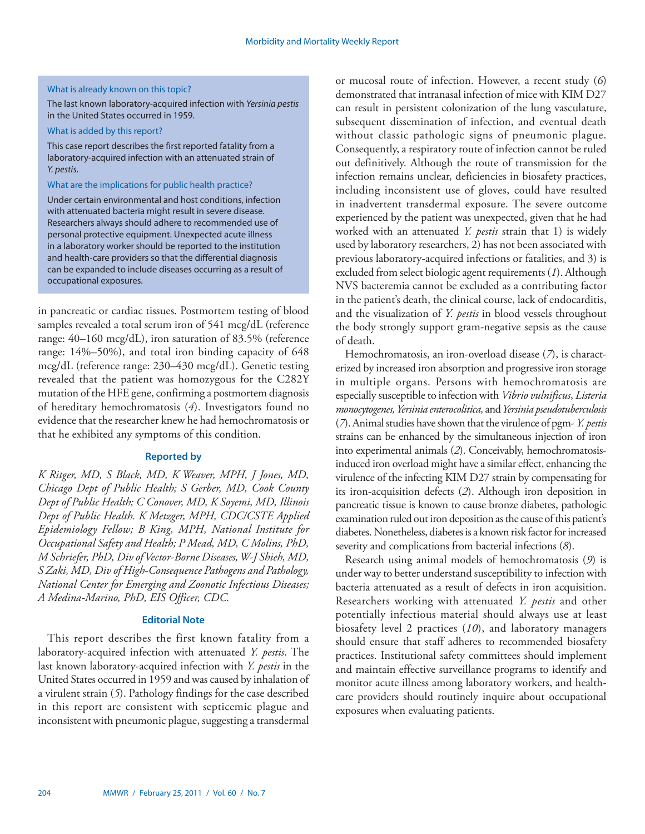#### What is already known on this topic?

The last known laboratory-acquired infection with Yersinia pestis in the United States occurred in 1959.

#### What is added by this report?

This case report describes the first reported fatality from a laboratory-acquired infection with an attenuated strain of Y. pestis.

## What are the implications for public health practice?

Under certain environmental and host conditions, infection with attenuated bacteria might result in severe disease. Researchers always should adhere to recommended use of personal protective equipment. Unexpected acute illness in a laboratory worker should be reported to the institution and health-care providers so that the differential diagnosis can be expanded to include diseases occurring as a result of occupational exposures.

in pancreatic or cardiac tissues. Postmortem testing of blood samples revealed a total serum iron of 541 mcg/dL (reference range: 40–160 mcg/dL), iron saturation of 83.5% (reference range: 14%–50%), and total iron binding capacity of 648 mcg/dL (reference range: 230–430 mcg/dL). Genetic testing revealed that the patient was homozygous for the C282Y mutation of the HFE gene, confirming a postmortem diagnosis of hereditary hemochromatosis (*4*). Investigators found no evidence that the researcher knew he had hemochromatosis or that he exhibited any symptoms of this condition.

# **Reported by**

*K Ritger, MD, S Black, MD, K Weaver, MPH, J Jones, MD, Chicago Dept of Public Health; S Gerber, MD, Cook County Dept of Public Health; C Conover, MD, K Soyemi, MD, Illinois Dept of Public Health. K Metzger, MPH, CDC/CSTE Applied Epidemiology Fellow; B King, MPH, National Institute for Occupational Safety and Health; P Mead, MD, C Molins, PhD, M Schriefer, PhD, Div of Vector-Borne Diseases, W-J Shieh, MD, S Zaki, MD, Div of High-Consequence Pathogens and Pathology, National Center for Emerging and Zoonotic Infectious Diseases; A Medina-Marino, PhD, EIS Officer, CDC.*

## **Editorial Note**

This report describes the first known fatality from a laboratory-acquired infection with attenuated *Y. pestis*. The last known laboratory-acquired infection with *Y. pestis* in the United States occurred in 1959 and was caused by inhalation of a virulent strain (*5*). Pathology findings for the case described in this report are consistent with septicemic plague and inconsistent with pneumonic plague, suggesting a transdermal

or mucosal route of infection. However, a recent study (*6*) demonstrated that intranasal infection of mice with KIM D27 can result in persistent colonization of the lung vasculature, subsequent dissemination of infection, and eventual death without classic pathologic signs of pneumonic plague. Consequently, a respiratory route of infection cannot be ruled out definitively. Although the route of transmission for the infection remains unclear, deficiencies in biosafety practices, including inconsistent use of gloves, could have resulted in inadvertent transdermal exposure. The severe outcome experienced by the patient was unexpected, given that he had worked with an attenuated *Y. pestis* strain that 1) is widely used by laboratory researchers, 2) has not been associated with previous laboratory-acquired infections or fatalities, and 3) is excluded from select biologic agent requirements (*1*). Although NVS bacteremia cannot be excluded as a contributing factor in the patient's death, the clinical course, lack of endocarditis, and the visualization of *Y. pestis* in blood vessels throughout the body strongly support gram-negative sepsis as the cause of death.

Hemochromatosis, an iron-overload disease (*7*), is characterized by increased iron absorption and progressive iron storage in multiple organs. Persons with hemochromatosis are especially susceptible to infection with *Vibrio vulnificus*, *Listeria monocytogenes, Yersinia enterocolitica,* and *Yersinia pseudotuberculosis* (*7*). Animal studies have shown that the virulence of pgm- *Y. pestis*  strains can be enhanced by the simultaneous injection of iron into experimental animals (*2*). Conceivably, hemochromatosisinduced iron overload might have a similar effect, enhancing the virulence of the infecting KIM D27 strain by compensating for its iron-acquisition defects (*2*). Although iron deposition in pancreatic tissue is known to cause bronze diabetes, pathologic examination ruled out iron deposition as the cause of this patient's diabetes. Nonetheless, diabetes is a known risk factor for increased severity and complications from bacterial infections (*8*).

Research using animal models of hemochromatosis (*9*) is under way to better understand susceptibility to infection with bacteria attenuated as a result of defects in iron acquisition. Researchers working with attenuated *Y. pestis* and other potentially infectious material should always use at least biosafety level 2 practices (*10*), and laboratory managers should ensure that staff adheres to recommended biosafety practices. Institutional safety committees should implement and maintain effective surveillance programs to identify and monitor acute illness among laboratory workers, and healthcare providers should routinely inquire about occupational exposures when evaluating patients.